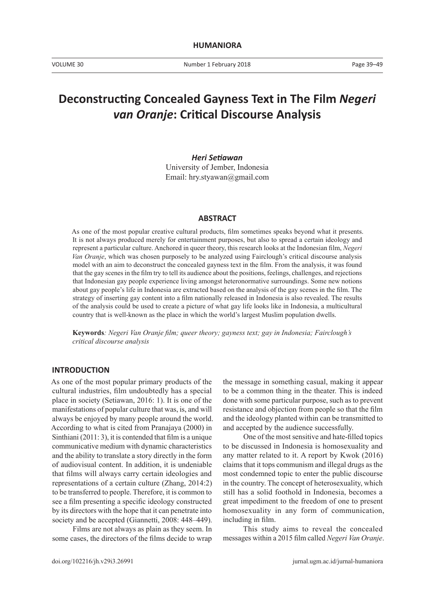# **Deconstructing Concealed Gayness Text in The Film** *Negeri van Oranje***: Critical Discourse Analysis**

### *Heri Setiawan*

University of Jember, Indonesia Email: hry.styawan@gmail.com

### **ABSTRACT**

As one of the most popular creative cultural products, film sometimes speaks beyond what it presents. It is not always produced merely for entertainment purposes, but also to spread a certain ideology and represent a particular culture. Anchored in queer theory, this research looks at the Indonesian film, *Negeri Van Oranje*, which was chosen purposely to be analyzed using Fairclough's critical discourse analysis model with an aim to deconstruct the concealed gayness text in the film. From the analysis, it was found that the gay scenes in the film try to tell its audience about the positions, feelings, challenges, and rejections that Indonesian gay people experience living amongst heteronormative surroundings. Some new notions about gay people's life in Indonesia are extracted based on the analysis of the gay scenes in the film. The strategy of inserting gay content into a film nationally released in Indonesia is also revealed. The results of the analysis could be used to create a picture of what gay life looks like in Indonesia, a multicultural country that is well-known as the place in which the world's largest Muslim population dwells.

**Keywords***: Negeri Van Oranje film; queer theory; gayness text; gay in Indonesia; Fairclough's critical discourse analysis*

#### **INTRODUCTION**

As one of the most popular primary products of the cultural industries, film undoubtedly has a special place in society (Setiawan, 2016: 1). It is one of the manifestations of popular culture that was, is, and will always be enjoyed by many people around the world. According to what is cited from Pranajaya (2000) in Sinthiani (2011: 3), it is contended that film is a unique communicative medium with dynamic characteristics and the ability to translate a story directly in the form of audiovisual content. In addition, it is undeniable that films will always carry certain ideologies and representations of a certain culture (Zhang, 2014:2) to be transferred to people. Therefore, it is common to see a film presenting a specific ideology constructed by its directors with the hope that it can penetrate into society and be accepted (Giannetti, 2008: 448–449).

Films are not always as plain as they seem. In some cases, the directors of the films decide to wrap the message in something casual, making it appear to be a common thing in the theater. This is indeed done with some particular purpose, such as to prevent resistance and objection from people so that the film and the ideology planted within can be transmitted to and accepted by the audience successfully.

One of the most sensitive and hate-filled topics to be discussed in Indonesia is homosexuality and any matter related to it. A report by Kwok (2016) claims that it tops communism and illegal drugs as the most condemned topic to enter the public discourse in the country. The concept of heterosexuality, which still has a solid foothold in Indonesia, becomes a great impediment to the freedom of one to present homosexuality in any form of communication, including in film.

This study aims to reveal the concealed messages within a 2015 film called *Negeri Van Oranje*.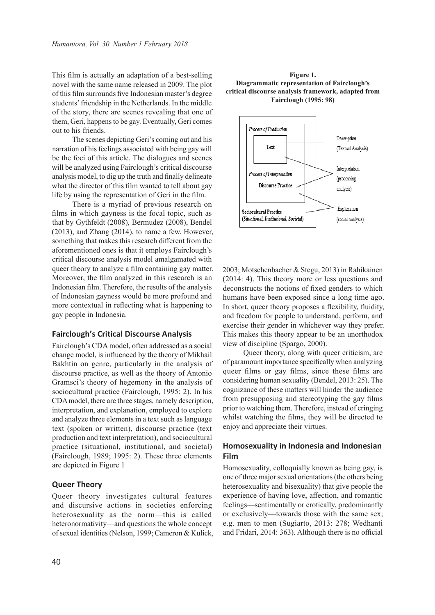This film is actually an adaptation of a best-selling novel with the same name released in 2009. The plot of this film surrounds five Indonesian master's degree students' friendship in the Netherlands. In the middle of the story, there are scenes revealing that one of them, Geri, happens to be gay. Eventually, Geri comes out to his friends.

The scenes depicting Geri's coming out and his narration of his feelings associated with being gay will be the foci of this article. The dialogues and scenes will be analyzed using Fairclough's critical discourse analysis model, to dig up the truth and finally delineate what the director of this film wanted to tell about gay life by using the representation of Geri in the film.

There is a myriad of previous research on films in which gayness is the focal topic, such as that by Gythfeldt (2008), Bermudez (2008), Bendel (2013), and Zhang (2014), to name a few. However, something that makes this research different from the aforementioned ones is that it employs Fairclough's critical discourse analysis model amalgamated with queer theory to analyze a film containing gay matter. Moreover, the film analyzed in this research is an Indonesian film. Therefore, the results of the analysis of Indonesian gayness would be more profound and more contextual in reflecting what is happening to gay people in Indonesia.

### **Fairclough's Critical Discourse Analysis**

Fairclough's CDA model, often addressed as a social change model, is influenced by the theory of Mikhail Bakhtin on genre, particularly in the analysis of discourse practice, as well as the theory of Antonio Gramsci's theory of hegemony in the analysis of sociocultural practice (Fairclough, 1995: 2). In his CDA model, there are three stages, namely description, interpretation, and explanation, employed to explore and analyze three elements in a text such as language text (spoken or written), discourse practice (text production and text interpretation), and sociocultural practice (situational, institutional, and societal) (Fairclough, 1989; 1995: 2). These three elements are depicted in Figure 1

### **Queer Theory**

Queer theory investigates cultural features and discursive actions in societies enforcing heterosexuality as the norm—this is called heteronormativity—and questions the whole concept of sexual identities (Nelson, 1999; Cameron & Kulick,





2003; Motschenbacher & Stegu, 2013) in Rahikainen (2014: 4). This theory more or less questions and deconstructs the notions of fixed genders to which humans have been exposed since a long time ago. In short, queer theory proposes a flexibility, fluidity, and freedom for people to understand, perform, and exercise their gender in whichever way they prefer. This makes this theory appear to be an unorthodox view of discipline (Spargo, 2000).

Queer theory, along with queer criticism, are of paramount importance specifically when analyzing queer films or gay films, since these films are considering human sexuality (Bendel, 2013: 25). The cognizance of these matters will hinder the audience from presupposing and stereotyping the gay films prior to watching them. Therefore, instead of cringing whilst watching the films, they will be directed to enjoy and appreciate their virtues.

### **Homosexuality in Indonesia and Indonesian Film**

Homosexuality, colloquially known as being gay, is one of three major sexual orientations (the others being heterosexuality and bisexuality) that give people the experience of having love, affection, and romantic feelings—sentimentally or erotically, predominantly or exclusively—towards those with the same sex; e.g. men to men (Sugiarto, 2013: 278; Wedhanti and Fridari, 2014: 363). Although there is no official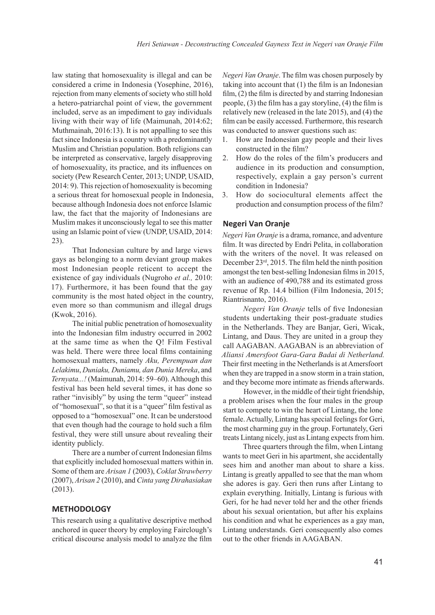law stating that homosexuality is illegal and can be considered a crime in Indonesia (Yosephine, 2016), rejection from many elements of society who still hold a hetero-patriarchal point of view, the government included, serve as an impediment to gay individuals living with their way of life (Maimunah, 2014:62; Muthmainah, 2016:13). It is not appalling to see this fact since Indonesia is a country with a predominantly Muslim and Christian population. Both religions can be interpreted as conservative, largely disapproving of homosexuality, its practice, and its influences on society (Pew Research Center, 2013; UNDP, USAID, 2014: 9). This rejection of homosexuality is becoming a serious threat for homosexual people in Indonesia, because although Indonesia does not enforce Islamic law, the fact that the majority of Indonesians are Muslim makes it unconsciously legal to see this matter using an Islamic point of view (UNDP, USAID, 2014: 23).

That Indonesian culture by and large views gays as belonging to a norm deviant group makes most Indonesian people reticent to accept the existence of gay individuals (Nugroho *et al.,* 2010: 17). Furthermore, it has been found that the gay community is the most hated object in the country, even more so than communism and illegal drugs (Kwok, 2016).

The initial public penetration of homosexuality into the Indonesian film industry occurred in 2002 at the same time as when the Q! Film Festival was held. There were three local films containing homosexual matters, namely *Aku, Perempuan dan Lelakimu*, *Duniaku, Duniamu, dan Dunia Mereka*, and *Ternyata...!* (Maimunah, 2014: 59–60). Although this festival has been held several times, it has done so rather "invisibly" by using the term "queer" instead of "homosexual", so that it is a "queer" film festival as opposed to a "homosexual" one. It can be understood that even though had the courage to hold such a film festival, they were still unsure about revealing their identity publicly.

There are a number of current Indonesian films that explicitly included homosexual matters within in. Some of them are *Arisan 1* (2003), *Coklat Strawberry* (2007), *Arisan 2* (2010), and *Cinta yang Dirahasiakan* (2013).

### **METHODOLOGY**

This research using a qualitative descriptive method anchored in queer theory by employing Fairclough's critical discourse analysis model to analyze the film

*Negeri Van Oranje*. The film was chosen purposely by taking into account that (1) the film is an Indonesian film, (2) the film is directed by and starring Indonesian people, (3) the film has a gay storyline, (4) the film is relatively new (released in the late 2015), and (4) the film can be easily accessed. Furthermore, this research was conducted to answer questions such as:

- 1. How are Indonesian gay people and their lives constructed in the film?
- 2. How do the roles of the film's producers and audience in its production and consumption, respectively, explain a gay person's current condition in Indonesia?
- 3. How do sociocultural elements affect the production and consumption process of the film?

### **Negeri Van Oranje**

*Negeri Van Oranje* is a drama, romance, and adventure film. It was directed by Endri Pelita, in collaboration with the writers of the novel. It was released on December 23rd, 2015. The film held the ninth position amongst the ten best-selling Indonesian films in 2015, with an audience of 490,788 and its estimated gross revenue of Rp. 14.4 billion (Film Indonesia, 2015; Riantrisnanto, 2016).

*Negeri Van Oranje* tells of five Indonesian students undertaking their post-graduate studies in the Netherlands. They are Banjar, Geri, Wicak, Lintang, and Daus. They are united in a group they call AAGABAN. AAGABAN is an abbreviation of *Aliansi Amersfoot Gara-Gara Badai di Netherland.*  Their first meeting in the Netherlands is at Amersfoort when they are trapped in a snow storm in a train station, and they become more intimate as friends afterwards.

However, in the middle of their tight friendship, a problem arises when the four males in the group start to compete to win the heart of Lintang, the lone female. Actually, Lintang has special feelings for Geri, the most charming guy in the group. Fortunately, Geri treats Lintang nicely, just as Lintang expects from him.

Three quarters through the film, when Lintang wants to meet Geri in his apartment, she accidentally sees him and another man about to share a kiss. Lintang is greatly appalled to see that the man whom she adores is gay. Geri then runs after Lintang to explain everything. Initially, Lintang is furious with Geri, for he had never told her and the other friends about his sexual orientation, but after his explains his condition and what he experiences as a gay man, Lintang understands. Geri consequently also comes out to the other friends in AAGABAN.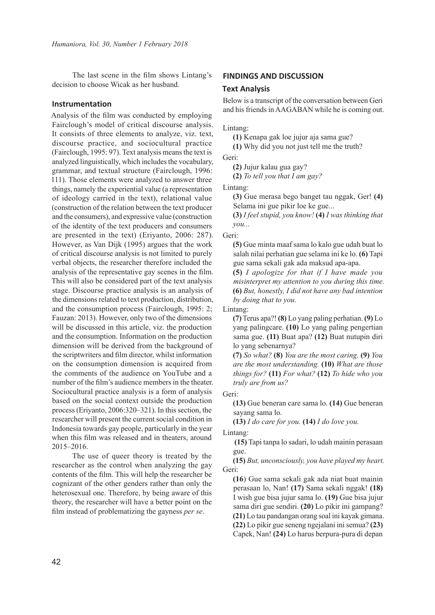The last scene in the film shows Lintang's decision to choose Wicak as her husband.

### **Instrumentation**

Analysis of the film was conducted by employing Fairclough's model of critical discourse analysis. It consists of three elements to analyze, viz. text, discourse practice, and sociocultural practice (Fairclough, 1995: 97). Text analysis means the text is analyzed linguistically, which includes the vocabulary, grammar, and textual structure (Fairclough, 1996: 111). Those elements were analyzed to answer three things, namely the experiential value (a representation of ideology carried in the text), relational value (construction of the relation between the text producer and the consumers), and expressive value (construction of the identity of the text producers and consumers are presented in the text) (Eriyanto, 2006: 287). However, as Van Dijk (1995) argues that the work of critical discourse analysis is not limited to purely verbal objects, the researcher therefore included the analysis of the representative gay scenes in the film. This will also be considered part of the text analysis stage. Discourse practice analysis is an analysis of the dimensions related to text production, distribution, and the consumption process (Fairclough, 1995: 2; Fauzan: 2013). However, only two of the dimensions will be discussed in this article, viz. the production and the consumption. Information on the production dimension will be derived from the background of the scriptwriters and film director, whilst information on the consumption dimension is acquired from the comments of the audience on YouTube and a number of the film's audience members in the theater. Sociocultural practice analysis is a form of analysis based on the social context outside the production process (Eriyanto, 2006:320–321). In this section, the researcher will present the current social condition in Indonesia towards gay people, particularly in the year when this film was released and in theaters, around 2015–2016.

The use of queer theory is treated by the researcher as the control when analyzing the gay contents of the film. This will help the researcher be cognizant of the other genders rather than only the heterosexual one. Therefore, by being aware of this theory, the researcher will have a better point on the film instead of problematizing the gayness *per se*.

# **FINDINGS AND DISCUSSION**

### **Text Analysis**

Below is a transcript of the conversation between Geri and his friends in AAGABAN while he is coming out.

Lintang:

**(1)** Kenapa gak loe jujur aja sama gue?

**(1)** Why did you not just tell me the truth?

Geri:

**(2)** Jujur kalau gua gay?

**(2)** *To tell you that I am gay?*

Lintang:

**(3)** Gue merasa bego banget tau nggak, Ger! **(4)** Selama ini gue pikir loe ke gue...

**(3)** *I feel stupid, you know!* **(4)** *I was thinking that you...*

#### Geri:

**(5)** Gue minta maaf sama lo kalo gue udah buat lo salah nilai perhatian gue selama ini ke lo. **(6)** Tapi gue sama sekali gak ada maksud apa-apa.

**(5)** *I apologize for that if I have made you misinterpret my attention to you during this time.* **(6)** *But, honestly, I did not have any bad intention by doing that to you.*

Lintang:

**(7)** Terus apa?! **(8)** Lo yang paling perhatian. **(9)** Lo yang palingcare. **(10)** Lo yang paling pengertian sama gue. **(11)** Buat apa? **(12)** Buat nutupin diri lo yang sebenarnya?

**(7)** *So what?* **(8)** *You are the most caring.* **(9)** *You are the most understanding.* **(10)** *What are those things for?* **(11)** *For what?* **(12)** *To hide who you truly are from us?*

Geri:

**(13)** Gue beneran care sama lo. **(14)** Gue beneran sayang sama lo.

**(13)** *I do care for you.* **(14)** *I do love you.*

Lintang:

**(15)** Tapi tanpa lo sadari, lo udah mainin perasaan gue.

**(15)** *But, unconsciously, you have played my heart.* Geri:

**(16**) Gue sama sekali gak ada niat buat mainin perasaan lo, Nan! **(17)** Sama sekali nggak! **(18)** I wish gue bisa jujur sama lo. **(19)** Gue bisa jujur sama diri gue sendiri. **(20)** Lo pikir ini gampang? **(21)** Lo tau pandangan orang soal ini kayak gimana. **(22)** Lo pikir gue seneng ngejalani ini semua? **(23)** Capek, Nan! **(24)** Lo harus berpura-pura di depan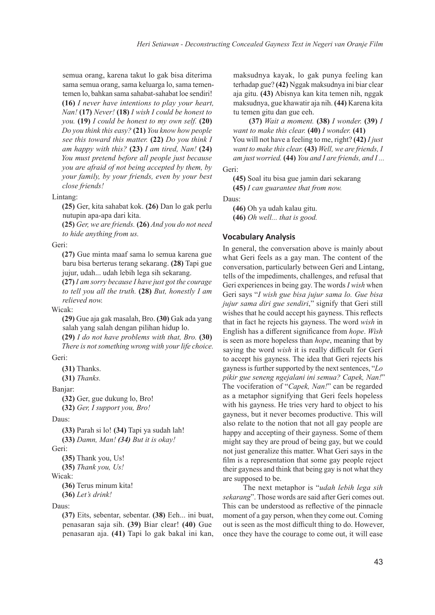semua orang, karena takut lo gak bisa diterima sama semua orang, sama keluarga lo, sama tementemen lo, bahkan sama sahabat-sahabat loe sendiri! **(16)** *I never have intentions to play your heart, Nan!* **(17)** *Never!* **(18)** *I wish I could be honest to you.* **(19)** *I could be honest to my own self.* **(20)** *Do you think this easy?* **(21)** *You know how people see this toward this matter.* **(22)** *Do you think I am happy with this?* **(23)** *I am tired, Nan!* **(24)** *You must pretend before all people just because you are afraid of not being accepted by them, by your family, by your friends, even by your best close friends!*

#### Lintang:

**(25)** Ger, kita sahabat kok. **(26)** Dan lo gak perlu nutupin apa-apa dari kita.

**(25)** *Ger, we are friends.* **(26)** *And you do not need to hide anything from us.*

#### Geri:

**(27)** Gue minta maaf sama lo semua karena gue baru bisa berterus terang sekarang. **(28)** Tapi gue jujur, udah... udah lebih lega sih sekarang.

**(27)** *I am sorry because I have just got the courage to tell you all the truth.* **(28)** *But, honestly I am relieved now.*

### Wicak:

**(29)** Gue aja gak masalah, Bro. **(30)** Gak ada yang salah yang salah dengan pilihan hidup lo.

**(29)** *I do not have problems with that, Bro.* **(30)** *There is not something wrong with your life choice.*

### Geri:

**(31)** Thanks.

**(31)** *Thanks.*

### Banjar:

**(32)** Ger, gue dukung lo, Bro!

```
(32) Ger, I support you, Bro!
```
### Daus:

**(33)** Parah si lo! **(34)** Tapi ya sudah lah! **(33)** *Damn, Man! (34) But it is okay!*

Geri:

```
(35) Thank you, Us!
```
**(35)** *Thank you, Us!*

## Wicak:

**(36)** Terus minum kita! **(36)** *Let's drink!*

### Daus:

**(37)** Eits, sebentar, sebentar. **(38)** Eeh... ini buat, penasaran saja sih. **(39)** Biar clear! **(40)** Gue penasaran aja. **(41)** Tapi lo gak bakal ini kan,

maksudnya kayak, lo gak punya feeling kan terhadap gue? **(42)** Nggak maksudnya ini biar clear aja gitu. **(43)** Abisnya kan kita temen nih, nggak maksudnya, gue khawatir aja nih. **(44)** Karena kita tu temen gitu dan gue eeh.

**(37)** *Wait a moment.* **(38)** *I wonder.* **(39)** *I want to make this clear.* **(40)** *I wonder.* **(41)** You will not have a feeling to me, right? **(42)** *I just want to make this clear.* **(43)** *Well, we are friends, I am just worried.* **(44)** *You and I are friends, and I ...*

### Geri:

**(45)** Soal itu bisa gue jamin dari sekarang

**(45)** *I can guarantee that from now.*

Daus:

**(46)** Oh ya udah kalau gitu. **(46)** *Oh well... that is good.*

#### **Vocabulary Analysis**

In general, the conversation above is mainly about what Geri feels as a gay man. The content of the conversation, particularly between Geri and Lintang, tells of the impediments, challenges, and refusal that Geri experiences in being gay. The words *I wish* when Geri says "*I wish gue bisa jujur sama lo. Gue bisa jujur sama diri gue sendiri*," signify that Geri still wishes that he could accept his gayness. This reflects that in fact he rejects his gayness. The word *wish* in English has a different significance from *hope*. *Wish* is seen as more hopeless than *hope*, meaning that by saying the word *wish* it is really difficult for Geri to accept his gayness. The idea that Geri rejects his gayness is further supported by the next sentences, "*Lo pikir gue seneng ngejalani ini semua? Capek, Nan!*" The vociferation of "*Capek, Nan!*" can be regarded as a metaphor signifying that Geri feels hopeless with his gayness. He tries very hard to object to his gayness, but it never becomes productive. This will also relate to the notion that not all gay people are happy and accepting of their gayness. Some of them might say they are proud of being gay, but we could not just generalize this matter. What Geri says in the film is a representation that some gay people reject their gayness and think that being gay is not what they are supposed to be.

The next metaphor is "*udah lebih lega sih sekarang*". Those words are said after Geri comes out. This can be understood as reflective of the pinnacle moment of a gay person, when they come out. Coming out is seen as the most difficult thing to do. However, once they have the courage to come out, it will ease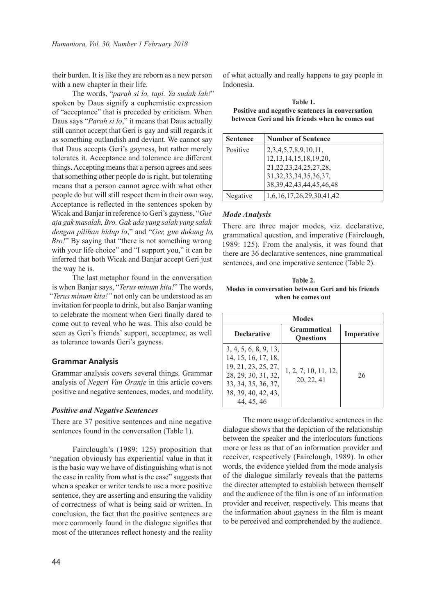their burden. It is like they are reborn as a new person with a new chapter in their life.

The words, "*parah si lo, tapi. Ya sudah lah!*" spoken by Daus signify a euphemistic expression of "acceptance" that is preceded by criticism. When Daus says "*Parah si lo*," it means that Daus actually still cannot accept that Geri is gay and still regards it as something outlandish and deviant. We cannot say that Daus accepts Geri's gayness, but rather merely tolerates it. Acceptance and tolerance are different things. Accepting means that a person agrees and sees that something other people do is right, but tolerating means that a person cannot agree with what other people do but will still respect them in their own way. Acceptance is reflected in the sentences spoken by Wicak and Banjar in reference to Geri's gayness, "*Gue aja gak masalah, Bro. Gak ada yang salah yang salah dengan pilihan hidup lo*," and "*Ger, gue dukung lo, Bro!*" By saying that "there is not something wrong with your life choice" and "I support you," it can be inferred that both Wicak and Banjar accept Geri just the way he is.

The last metaphor found in the conversation is when Banjar says, "*Terus minum kita!*" The words, "*Terus minum kita!"* not only can be understood as an invitation for people to drink, but also Banjar wanting to celebrate the moment when Geri finally dared to come out to reveal who he was. This also could be seen as Geri's friends' support, acceptance, as well as tolerance towards Geri's gayness.

#### **Grammar Analysis**

Grammar analysis covers several things. Grammar analysis of *Negeri Van Oranje* in this article covers positive and negative sentences, modes, and modality.

### *Positive and Negative Sentences*

There are 37 positive sentences and nine negative sentences found in the conversation (Table 1).

Fairclough's (1989: 125) proposition that "negation obviously has experiential value in that it is the basic way we have of distinguishing what is not the case in reality from what is the case" suggests that when a speaker or writer tends to use a more positive sentence, they are asserting and ensuring the validity of correctness of what is being said or written. In conclusion, the fact that the positive sentences are more commonly found in the dialogue signifies that most of the utterances reflect honesty and the reality of what actually and really happens to gay people in Indonesia.

**Table 1. Positive and negative sentences in conversation between Geri and his friends when he comes out**

| <b>Sentence</b> | <b>Number of Sentence</b>      |
|-----------------|--------------------------------|
| Positive        | 2, 3, 4, 5, 7, 8, 9, 10, 11,   |
|                 | 12, 13, 14, 15, 18, 19, 20,    |
|                 | 21, 22, 23, 24, 25, 27, 28,    |
|                 | 31, 32, 33, 34, 35, 36, 37,    |
|                 | 38, 39, 42, 43, 44, 45, 46, 48 |
| Negative        | 1,6,16,17,26,29,30,41,42       |

#### *Mode Analysis*

There are three major modes, viz. declarative, grammatical question, and imperative (Fairclough, 1989: 125). From the analysis, it was found that there are 36 declarative sentences, nine grammatical sentences, and one imperative sentence (Table 2).

| Table 2.                                           |  |  |
|----------------------------------------------------|--|--|
| Modes in conversation between Geri and his friends |  |  |
| when he comes out                                  |  |  |

| Modes                                                                                                                                                  |                                        |            |  |  |  |  |
|--------------------------------------------------------------------------------------------------------------------------------------------------------|----------------------------------------|------------|--|--|--|--|
| <b>Declarative</b>                                                                                                                                     | <b>Grammatical</b><br><b>Ouestions</b> | Imperative |  |  |  |  |
| 3, 4, 5, 6, 8, 9, 13,<br>14, 15, 16, 17, 18,<br>19, 21, 23, 25, 27,<br>28, 29, 30, 31, 32,<br>33, 34, 35, 36, 37,<br>38, 39, 40, 42, 43,<br>44, 45, 46 | 1, 2, 7, 10, 11, 12,<br>20, 22, 41     | 26         |  |  |  |  |

The more usage of declarative sentences in the dialogue shows that the depiction of the relationship between the speaker and the interlocutors functions more or less as that of an information provider and receiver, respectively (Fairclough, 1989). In other words, the evidence yielded from the mode analysis of the dialogue similarly reveals that the patterns the director attempted to establish between themself and the audience of the film is one of an information provider and receiver, respectively. This means that the information about gayness in the film is meant to be perceived and comprehended by the audience.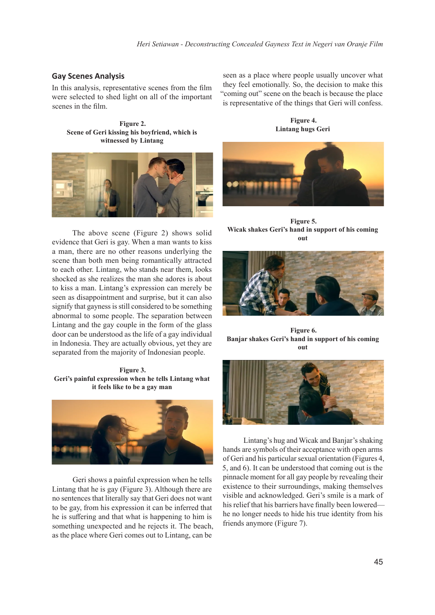### **Gay Scenes Analysis**

In this analysis, representative scenes from the film were selected to shed light on all of the important scenes in the film.

**Figure 2. Scene of Geri kissing his boyfriend, which is witnessed by Lintang**



The above scene (Figure 2) shows solid evidence that Geri is gay. When a man wants to kiss a man, there are no other reasons underlying the scene than both men being romantically attracted to each other. Lintang, who stands near them, looks shocked as she realizes the man she adores is about to kiss a man. Lintang's expression can merely be seen as disappointment and surprise, but it can also signify that gayness is still considered to be something abnormal to some people. The separation between Lintang and the gay couple in the form of the glass door can be understood as the life of a gay individual in Indonesia. They are actually obvious, yet they are separated from the majority of Indonesian people.

**Figure 3. Geri's painful expression when he tells Lintang what it feels like to be a gay man**



Geri shows a painful expression when he tells Lintang that he is gay (Figure 3). Although there are no sentences that literally say that Geri does not want to be gay, from his expression it can be inferred that he is suffering and that what is happening to him is something unexpected and he rejects it. The beach, as the place where Geri comes out to Lintang, can be

seen as a place where people usually uncover what they feel emotionally. So, the decision to make this "coming out" scene on the beach is because the place is representative of the things that Geri will confess.

**Figure 4. Lintang hugs Geri**



**Figure 5. Wicak shakes Geri's hand in support of his coming out**



**Figure 6. Banjar shakes Geri's hand in support of his coming out**



Lintang's hug and Wicak and Banjar's shaking hands are symbols of their acceptance with open arms of Geri and his particular sexual orientation (Figures 4, 5, and 6). It can be understood that coming out is the pinnacle moment for all gay people by revealing their existence to their surroundings, making themselves visible and acknowledged. Geri's smile is a mark of his relief that his barriers have finally been lowered he no longer needs to hide his true identity from his friends anymore (Figure 7).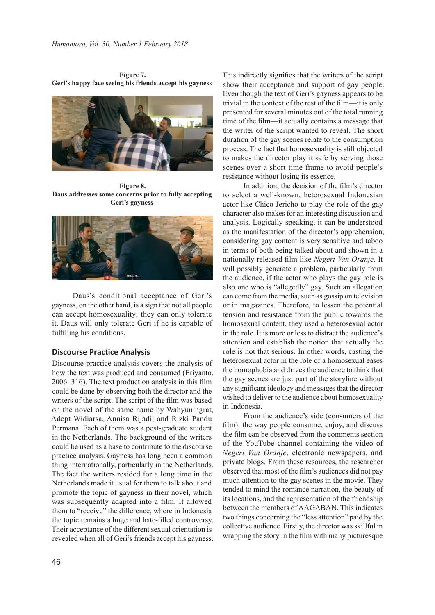**Figure 7. Geri's happy face seeing his friends accept his gayness**



**Figure 8. Daus addresses some concerns prior to fully accepting Geri's gayness**



Daus's conditional acceptance of Geri's gayness, on the other hand, is a sign that not all people can accept homosexuality; they can only tolerate it. Daus will only tolerate Geri if he is capable of fulfilling his conditions.

#### **Discourse Practice Analysis**

Discourse practice analysis covers the analysis of how the text was produced and consumed (Eriyanto, 2006: 316). The text production analysis in this film could be done by observing both the director and the writers of the script. The script of the film was based on the novel of the same name by Wahyuningrat, Adept Widiarsa, Annisa Rijadi, and Rizki Pandu Permana. Each of them was a post-graduate student in the Netherlands. The background of the writers could be used as a base to contribute to the discourse practice analysis. Gayness has long been a common thing internationally, particularly in the Netherlands. The fact the writers resided for a long time in the Netherlands made it usual for them to talk about and promote the topic of gayness in their novel, which was subsequently adapted into a film. It allowed them to "receive" the difference, where in Indonesia the topic remains a huge and hate-filled controversy. Their acceptance of the different sexual orientation is revealed when all of Geri's friends accept his gayness.

This indirectly signifies that the writers of the script show their acceptance and support of gay people. Even though the text of Geri's gayness appears to be trivial in the context of the rest of the film—it is only presented for several minutes out of the total running time of the film—it actually contains a message that the writer of the script wanted to reveal. The short duration of the gay scenes relate to the consumption process. The fact that homosexuality is still objected to makes the director play it safe by serving those scenes over a short time frame to avoid people's resistance without losing its essence.

In addition, the decision of the film's director to select a well-known, heterosexual Indonesian actor like Chico Jericho to play the role of the gay character also makes for an interesting discussion and analysis. Logically speaking, it can be understood as the manifestation of the director's apprehension, considering gay content is very sensitive and taboo in terms of both being talked about and shown in a nationally released film like *Negeri Van Oranje*. It will possibly generate a problem, particularly from the audience, if the actor who plays the gay role is also one who is "allegedly" gay. Such an allegation can come from the media, such as gossip on television or in magazines. Therefore, to lessen the potential tension and resistance from the public towards the homosexual content, they used a heterosexual actor in the role. It is more or less to distract the audience's attention and establish the notion that actually the role is not that serious. In other words, casting the heterosexual actor in the role of a homosexual eases the homophobia and drives the audience to think that the gay scenes are just part of the storyline without any significant ideology and messages that the director wished to deliver to the audience about homosexuality in Indonesia.

From the audience's side (consumers of the film), the way people consume, enjoy, and discuss the film can be observed from the comments section of the YouTube channel containing the video of *Negeri Van Oranje*, electronic newspapers, and private blogs. From these resources, the researcher observed that most of the film's audiences did not pay much attention to the gay scenes in the movie. They tended to mind the romance narration, the beauty of its locations, and the representation of the friendship between the members of AAGABAN. This indicates two things concerning the "less attention" paid by the collective audience. Firstly, the director was skillful in wrapping the story in the film with many picturesque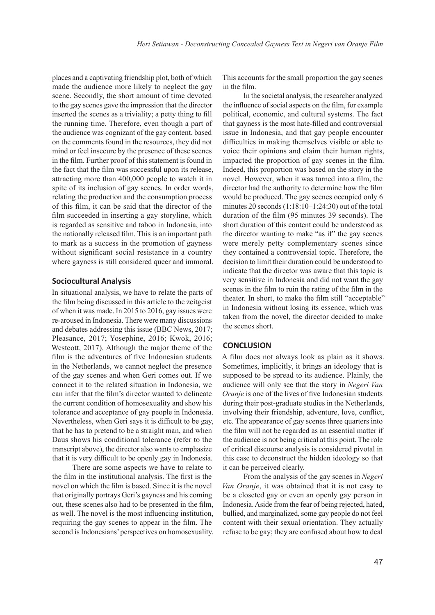places and a captivating friendship plot, both of which made the audience more likely to neglect the gay scene. Secondly, the short amount of time devoted to the gay scenes gave the impression that the director inserted the scenes as a triviality; a petty thing to fill the running time. Therefore, even though a part of the audience was cognizant of the gay content, based on the comments found in the resources, they did not mind or feel insecure by the presence of these scenes in the film. Further proof of this statement is found in the fact that the film was successful upon its release, attracting more than 400,000 people to watch it in spite of its inclusion of gay scenes. In order words, relating the production and the consumption process of this film, it can be said that the director of the film succeeded in inserting a gay storyline, which is regarded as sensitive and taboo in Indonesia, into the nationally released film. This is an important path to mark as a success in the promotion of gayness without significant social resistance in a country where gayness is still considered queer and immoral.

### **Sociocultural Analysis**

In situational analysis, we have to relate the parts of the film being discussed in this article to the zeitgeist of when it was made. In 2015 to 2016, gay issues were re-aroused in Indonesia. There were many discussions and debates addressing this issue (BBC News, 2017; Pleasance, 2017; Yosephine, 2016; Kwok, 2016; Westcott, 2017). Although the major theme of the film is the adventures of five Indonesian students in the Netherlands, we cannot neglect the presence of the gay scenes and when Geri comes out. If we connect it to the related situation in Indonesia, we can infer that the film's director wanted to delineate the current condition of homosexuality and show his tolerance and acceptance of gay people in Indonesia. Nevertheless, when Geri says it is difficult to be gay, that he has to pretend to be a straight man, and when Daus shows his conditional tolerance (refer to the transcript above), the director also wants to emphasize that it is very difficult to be openly gay in Indonesia.

There are some aspects we have to relate to the film in the institutional analysis. The first is the novel on which the film is based. Since it is the novel that originally portrays Geri's gayness and his coming out, these scenes also had to be presented in the film, as well. The novel is the most influencing institution, requiring the gay scenes to appear in the film. The second is Indonesians' perspectives on homosexuality.

This accounts for the small proportion the gay scenes in the film.

In the societal analysis, the researcher analyzed the influence of social aspects on the film, for example political, economic, and cultural systems. The fact that gayness is the most hate-filled and controversial issue in Indonesia, and that gay people encounter difficulties in making themselves visible or able to voice their opinions and claim their human rights, impacted the proportion of gay scenes in the film. Indeed, this proportion was based on the story in the novel. However, when it was turned into a film, the director had the authority to determine how the film would be produced. The gay scenes occupied only 6 minutes 20 seconds (1:18:10–1:24:30) out of the total duration of the film (95 minutes 39 seconds). The short duration of this content could be understood as the director wanting to make "as if" the gay scenes were merely petty complementary scenes since they contained a controversial topic. Therefore, the decision to limit their duration could be understood to indicate that the director was aware that this topic is very sensitive in Indonesia and did not want the gay scenes in the film to ruin the rating of the film in the theater. In short, to make the film still "acceptable" in Indonesia without losing its essence, which was taken from the novel, the director decided to make the scenes short.

#### **CONCLUSION**

A film does not always look as plain as it shows. Sometimes, implicitly, it brings an ideology that is supposed to be spread to its audience. Plainly, the audience will only see that the story in *Negeri Van Oranje* is one of the lives of five Indonesian students during their post-graduate studies in the Netherlands, involving their friendship, adventure, love, conflict, etc. The appearance of gay scenes three quarters into the film will not be regarded as an essential matter if the audience is not being critical at this point. The role of critical discourse analysis is considered pivotal in this case to deconstruct the hidden ideology so that it can be perceived clearly.

From the analysis of the gay scenes in *Negeri Van Oranje*, it was obtained that it is not easy to be a closeted gay or even an openly gay person in Indonesia. Aside from the fear of being rejected, hated, bullied, and marginalized, some gay people do not feel content with their sexual orientation. They actually refuse to be gay; they are confused about how to deal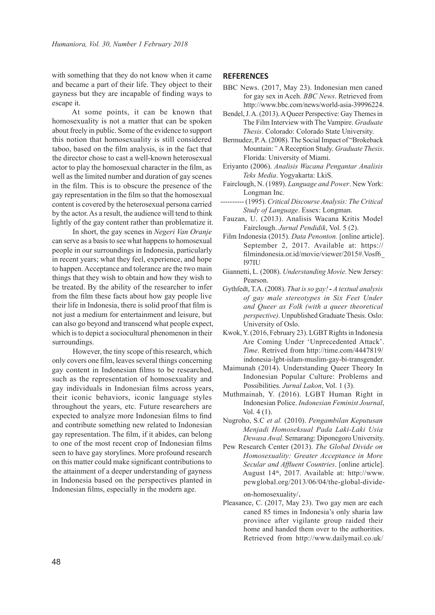with something that they do not know when it came and became a part of their life. They object to their gayness but they are incapable of finding ways to escape it.

At some points, it can be known that homosexuality is not a matter that can be spoken about freely in public. Some of the evidence to support this notion that homosexuality is still considered taboo, based on the film analysis, is in the fact that the director chose to cast a well-known heterosexual actor to play the homosexual character in the film, as well as the limited number and duration of gay scenes in the film. This is to obscure the presence of the gay representation in the film so that the homosexual content is covered by the heterosexual persona carried by the actor. As a result, the audience will tend to think lightly of the gay content rather than problematize it.

In short, the gay scenes in *Negeri Van Oranje* can serve as a basis to see what happens to homosexual people in our surroundings in Indonesia, particularly in recent years; what they feel, experience, and hope to happen. Acceptance and tolerance are the two main things that they wish to obtain and how they wish to be treated. By the ability of the researcher to infer from the film these facts about how gay people live their life in Indonesia, there is solid proof that film is not just a medium for entertainment and leisure, but can also go beyond and transcend what people expect, which is to depict a sociocultural phenomenon in their surroundings.

However, the tiny scope of this research, which only covers one film, leaves several things concerning gay content in Indonesian films to be researched, such as the representation of homosexuality and gay individuals in Indonesian films across years, their iconic behaviors, iconic language styles throughout the years, etc. Future researchers are expected to analyze more Indonesian films to find and contribute something new related to Indonesian gay representation. The film, if it abides, can belong to one of the most recent crop of Indonesian films seen to have gay storylines. More profound research on this matter could make significant contributions to the attainment of a deeper understanding of gayness in Indonesia based on the perspectives planted in Indonesian films, especially in the modern age.

### **REFERENCES**

- BBC News. (2017, May 23). Indonesian men caned for gay sex in Aceh. *BBC News*. Retrieved from http://www.bbc.com/news/world-asia-39996224.
- Bendel, J. A. (2013). A Queer Perspective: Gay Themes in The Film Interview with The Vampire. *Graduate Thesis*. Colorado: Colorado State University.
- Bermudez, P. A. (2008). The Social Impact of "Brokeback Mountain:*"* A Reception Study. *Graduate Thesis*. Florida: University of Miami.
- Eriyanto (2006). *Analisis Wacana Pengantar Analisis Teks Media*. Yogyakarta: LkiS.
- Fairclough, N. (1989). *Language and Power*. New York: Longman Inc.
- ---------- (1995). *Critical Discourse Analysis: The Critical Study of Language*. Essex: Longman.
- Fauzan, U. (2013). Analisis Wacana Kritis Model Fairclough. *Jurnal Pendidik*, Vol. 5 (2).
- Film Indonesia (2015). *Data Penonton.* [online article]. September 2, 2017. Available at: https:// filmindonesia.or.id/movie/viewer/2015#.Vosf6\_ l97IU
- Giannetti, L. (2008). *Understanding Movie*. New Jersey: Pearson.
- Gythfedt, T.A. (2008). *That is so gay! A textual analysis of gay male stereotypes in Six Feet Under and Queer as Folk (with a queer theoretical perspective)*. Unpublished Graduate Thesis. Oslo: University of Oslo.
- Kwok, Y. (2016, February 23). LGBT Rights in Indonesia Are Coming Under 'Unprecedented Attack'. *Time*. Retrived from http://time.com/4447819/ indonesia-lgbt-islam-muslim-gay-bi-transgender.
- Maimunah (2014). Understanding Queer Theory In Indonesian Popular Culture: Problems and Possibilities. *Jurnal Lakon*, Vol. 1 (3).
- Muthmainah, Y. (2016). LGBT Human Right in Indonesian Police. *Indonesian Feminist Journal*, Vol. 4 (1).
- Nugroho, S.C *et al.* (2010). *Pengambilan Keputusan Menjadi Homoseksual Pada Laki-Laki Usia Dewasa Awal*. Semarang: Diponegoro University.
- Pew Research Center (2013). *The Global Divide on Homosexuality: Greater Acceptance in More Secular and Affluent Countries*. [online article]. August 14<sup>th</sup>, 2017. Available at: http://www. pewglobal.org/2013/06/04/the-global-divide-

on-homosexuality/.

Pleasance, C. (2017, May 23). Two gay men are each caned 85 times in Indonesia's only sharia law province after vigilante group raided their home and handed them over to the authorities. Retrieved from http://www.dailymail.co.uk/